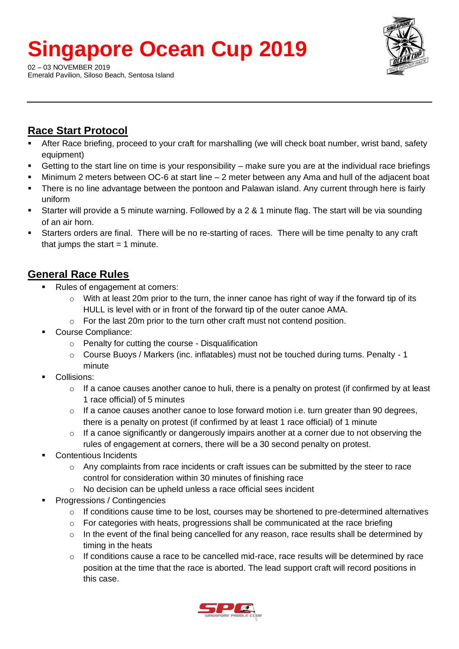# **Singapore Ocean Cup 2019**

02 – 03 NOVEMBER 2019 Emerald Pavilion, Siloso Beach, Sentosa Island



## **Race Start Protocol**

- After Race briefing, proceed to your craft for marshalling (we will check boat number, wrist band, safety equipment)
- Getting to the start line on time is your responsibility make sure you are at the individual race briefings
- Minimum 2 meters between OC-6 at start line  $-2$  meter between any Ama and hull of the adjacent boat
- There is no line advantage between the pontoon and Palawan island. Any current through here is fairly uniform
- Starter will provide a 5 minute warning. Followed by a 2 & 1 minute flag. The start will be via sounding of an air horn.
- Starters orders are final. There will be no re-starting of races. There will be time penalty to any craft that jumps the start  $= 1$  minute.

## **General Race Rules**

- Rules of engagement at corners:
	- o With at least 20m prior to the turn, the inner canoe has right of way if the forward tip of its HULL is level with or in front of the forward tip of the outer canoe AMA.
	- $\circ$  For the last 20m prior to the turn other craft must not contend position.
- Course Compliance:
	- o Penalty for cutting the course Disqualification
	- o Course Buoys / Markers (inc. inflatables) must not be touched during turns. Penalty 1 minute
- Collisions:
	- $\circ$  If a canoe causes another canoe to huli, there is a penalty on protest (if confirmed by at least 1 race official) of 5 minutes
	- o If a canoe causes another canoe to lose forward motion i.e. turn greater than 90 degrees, there is a penalty on protest (if confirmed by at least 1 race official) of 1 minute
	- $\circ$  If a canoe significantly or dangerously impairs another at a corner due to not observing the rules of engagement at corners, there will be a 30 second penalty on protest.
- Contentious Incidents
	- $\circ$  Any complaints from race incidents or craft issues can be submitted by the steer to race control for consideration within 30 minutes of finishing race
	- o No decision can be upheld unless a race official sees incident
- **Progressions / Contingencies** 
	- $\circ$  If conditions cause time to be lost, courses may be shortened to pre-determined alternatives
	- $\circ$  For categories with heats, progressions shall be communicated at the race briefing
	- $\circ$  In the event of the final being cancelled for any reason, race results shall be determined by timing in the heats
	- o If conditions cause a race to be cancelled mid-race, race results will be determined by race position at the time that the race is aborted. The lead support craft will record positions in this case.